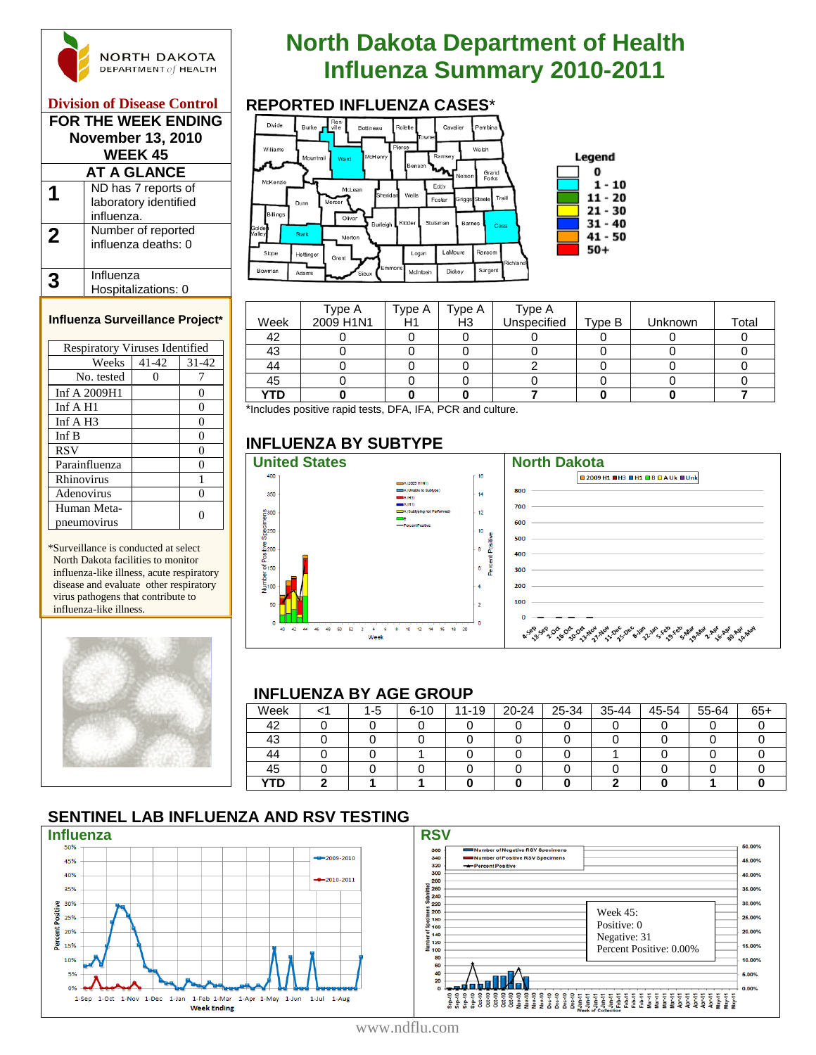

#### **Division of Disease Control FOR THE WEEK ENDING**

| FUR THE WEER ENDING<br><b>November 13, 2010</b><br><b>WEEK 45</b> |                                                            |  |  |  |  |  |
|-------------------------------------------------------------------|------------------------------------------------------------|--|--|--|--|--|
|                                                                   | AT A GLANCE                                                |  |  |  |  |  |
|                                                                   | ND has 7 reports of<br>laboratory identified<br>influenza. |  |  |  |  |  |
| $\mathbf 2$                                                       | Number of reported<br>influenza deaths: 0                  |  |  |  |  |  |
|                                                                   | Influenza<br>Hospitalizations: 0                           |  |  |  |  |  |

#### **Influenza Surveillance Project\***

| <b>Respiratory Viruses Identified</b> |       |           |  |  |  |  |  |
|---------------------------------------|-------|-----------|--|--|--|--|--|
| Weeks                                 | 41-42 | $31 - 42$ |  |  |  |  |  |
| No. tested                            |       |           |  |  |  |  |  |
| Inf A 2009H1                          |       | 0         |  |  |  |  |  |
| Inf $A$ H <sub>1</sub>                |       | 0         |  |  |  |  |  |
| Inf $A$ H <sub>3</sub>                |       | 0         |  |  |  |  |  |
| Inf B                                 |       | 0         |  |  |  |  |  |
| <b>RSV</b>                            |       | 0         |  |  |  |  |  |
| Parainfluenza                         |       | 0         |  |  |  |  |  |
| Rhinovirus                            |       |           |  |  |  |  |  |
| Adenovirus                            |       |           |  |  |  |  |  |
| Human Meta-                           |       |           |  |  |  |  |  |
| pneumovirus                           |       |           |  |  |  |  |  |

\*Surveillance is conducted at select North Dakota facilities to monitor influenza-like illness, acute respiratory disease and evaluate other respiratory virus pathogens that contribute to influenza-like illness.



# **North Dakota Department of Health INGRTH DAKOTA**<br> **Influenza Summary 2010-2011**<br> **Influenza Cases**



|      | Type A    | Type A | Type A         | Type A      |        |         |       |
|------|-----------|--------|----------------|-------------|--------|---------|-------|
| Week | 2009 H1N1 | H1     | H <sub>3</sub> | Unspecified | Type B | Unknown | Total |
| 42   |           |        |                |             |        |         |       |
| 43   |           |        |                |             |        |         |       |
| 44   |           |        |                |             |        |         |       |
| 45   |           |        |                |             |        |         |       |
| YTD  |           |        |                |             |        |         |       |

\*Includes positive rapid tests, DFA, IFA, PCR and culture.

# **INFLUENZA BY SUBTYPE**



#### **INFLUENZA BY AGE GROUP**

| Week       |  | $1 - 5$ | $6 - 10$ | 11-19 | $20 - 24$ | 25-34 | 35-44 | 45-54 | 55-64 | $65+$ |
|------------|--|---------|----------|-------|-----------|-------|-------|-------|-------|-------|
| 42         |  |         |          |       |           |       |       |       |       |       |
| 43         |  |         |          |       |           |       |       |       |       |       |
| 44         |  |         |          |       |           |       |       |       |       |       |
| 45         |  |         |          |       |           |       |       |       |       |       |
| <b>YTD</b> |  |         |          |       |           |       |       |       |       |       |

# **SENTINEL LAB INFLUENZA AND RSV TESTING**